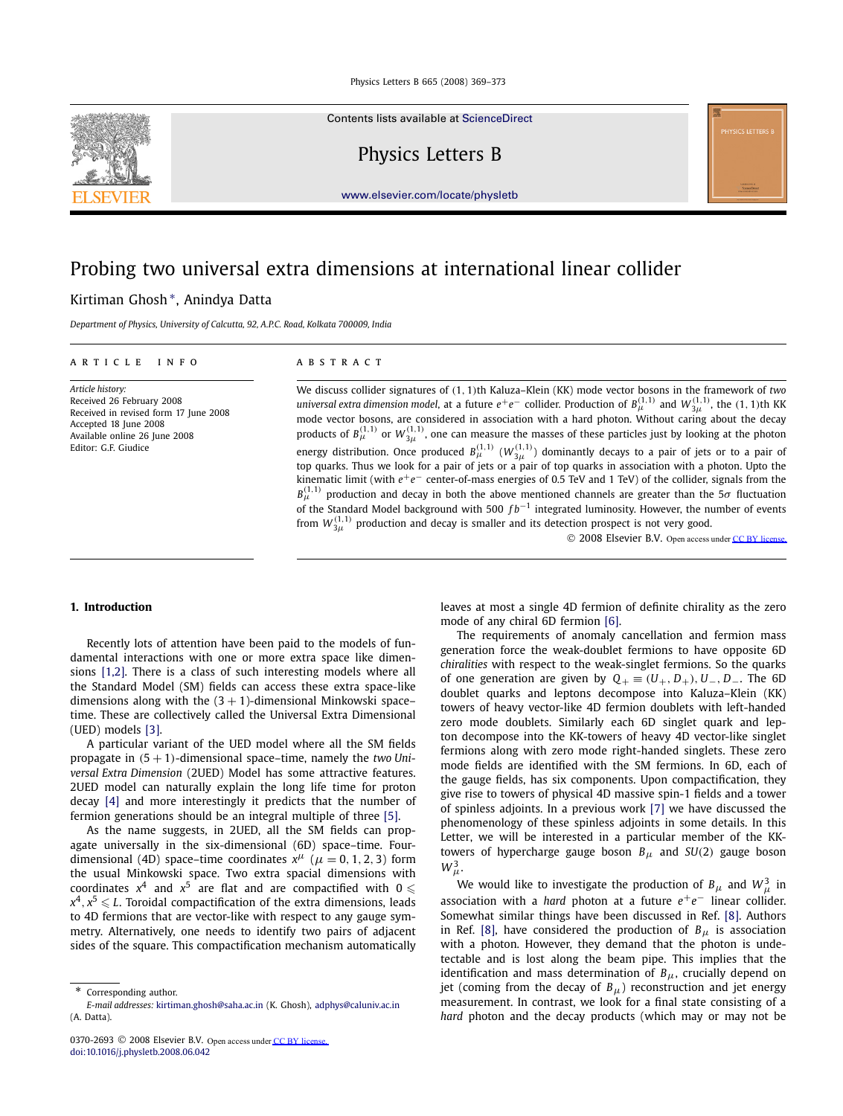Contents lists available at [ScienceDirect](http://www.ScienceDirect.com/)

Physics Letters B

[www.elsevier.com/locate/physletb](http://www.elsevier.com/locate/physletb)

# Probing two universal extra dimensions at international linear collider

# Kirtiman Ghosh ∗, Anindya Datta

*Department of Physics, University of Calcutta, 92, A.P.C. Road, Kolkata 700009, India*

### article info abstract

*Article history:* Received 26 February 2008 Received in revised form 17 June 2008 Accepted 18 June 2008 Available online 26 June 2008 Editor: G.F. Giudice

We discuss collider signatures of *(*1*,* 1*)*th Kaluza–Klein (KK) mode vector bosons in the framework of *two* universal extra dimension model, at a future  $e^+e^-$  collider. Production of  $B^{(1,1)}_{\mu}$  and  $W^{(1,1)}_{3\mu}$ , the (1, 1)th KK mode vector bosons, are considered in association with a hard photon. Without caring about the decay products of  $B^{(1,1)}_{\mu}$  or  $W^{(1,1)}_{3\mu}$ , one can measure the masses of these particles just by looking at the photon energy distribution. Once produced  $B^{(1,1)}_{\mu}$  ( $W^{(1,1)}_{3\mu}$ ) dominantly decays to a pair of jets or to a pair of<br>top quarks. Thus we look for a pair of jets or a pair of top quarks in association with a photon. Upto kinematic limit (with *e*+*e*− center-of-mass energies of 0.5 TeV and 1 TeV) of the collider, signals from the  $B_{\mu}^{(1,1)}$  production and decay in both the above mentioned channels are greater than the 5*σ* fluctuation of the Standard Model background with 500 *f b*−<sup>1</sup> integrated luminosity. However, the number of events from  $W^{(1,1)}_{3 \mu}$  production and decay is smaller and its detection prospect is not very good.

© 2008 Elsevier B.V. Open access under [CC BY license.](http://creativecommons.org/licenses/by/3.0/)

# **1. Introduction**

Recently lots of attention have been paid to the models of fundamental interactions with one or more extra space like dimensions [\[1,2\].](#page-4-0) There is a class of such interesting models where all the Standard Model (SM) fields can access these extra space-like dimensions along with the  $(3 + 1)$ -dimensional Minkowski space– time. These are collectively called the Universal Extra Dimensional (UED) models [\[3\].](#page-4-0)

A particular variant of the UED model where all the SM fields propagate in *(*5 + 1*)*-dimensional space–time, namely the *two Universal Extra Dimension* (2UED) Model has some attractive features. 2UED model can naturally explain the long life time for proton decay [\[4\]](#page-4-0) and more interestingly it predicts that the number of fermion generations should be an integral multiple of three [\[5\].](#page-4-0)

As the name suggests, in 2UED, all the SM fields can propagate universally in the six-dimensional (6D) space–time. Fourdimensional (4D) space–time coordinates  $x^{\mu}$  ( $\mu = 0, 1, 2, 3$ ) form the usual Minkowski space. Two extra spacial dimensions with coordinates  $x^4$  and  $x^5$  are flat and are compactified with  $0 \leqslant$  $x^4, x^5 \leqslant L$ . Toroidal compactification of the extra dimensions, leads to 4D fermions that are vector-like with respect to any gauge symmetry. Alternatively, one needs to identify two pairs of adjacent sides of the square. This compactification mechanism automatically

\* Corresponding author.

leaves at most a single 4D fermion of definite chirality as the zero mode of any chiral 6D fermion [\[6\].](#page-4-0)

The requirements of anomaly cancellation and fermion mass generation force the weak-doublet fermions to have opposite 6D *chiralities* with respect to the weak-singlet fermions. So the quarks of one generation are given by  $Q_+ \equiv (U_+, D_+), U_-, D_-.$  The 6D doublet quarks and leptons decompose into Kaluza–Klein (KK) towers of heavy vector-like 4D fermion doublets with left-handed zero mode doublets. Similarly each 6D singlet quark and lepton decompose into the KK-towers of heavy 4D vector-like singlet fermions along with zero mode right-handed singlets. These zero mode fields are identified with the SM fermions. In 6D, each of the gauge fields, has six components. Upon compactification, they give rise to towers of physical 4D massive spin-1 fields and a tower of spinless adjoints. In a previous work [\[7\]](#page-4-0) we have discussed the phenomenology of these spinless adjoints in some details. In this Letter, we will be interested in a particular member of the KKtowers of hypercharge gauge boson *Bμ* and *SU(*2*)* gauge boson  $W^3_\mu$ .

We would like to investigate the production of  $B_\mu$  and  $W_\mu^3$  in association with a *hard* photon at a future  $e^+e^-$  linear collider. Somewhat similar things have been discussed in Ref. [\[8\].](#page-4-0) Authors in Ref. [\[8\],](#page-4-0) have considered the production of  $B_\mu$  is association with a photon. However, they demand that the photon is undetectable and is lost along the beam pipe. This implies that the identification and mass determination of  $B_{\mu}$ , crucially depend on jet (coming from the decay of  $B_\mu$ ) reconstruction and jet energy measurement. In contrast, we look for a final state consisting of a *hard* photon and the decay products (which may or may not be



*E-mail addresses:* [kirtiman.ghosh@saha.ac.in](mailto:kirtiman.ghosh@saha.ac.in) (K. Ghosh), [adphys@caluniv.ac.in](mailto:adphys@caluniv.ac.in) (A. Datta).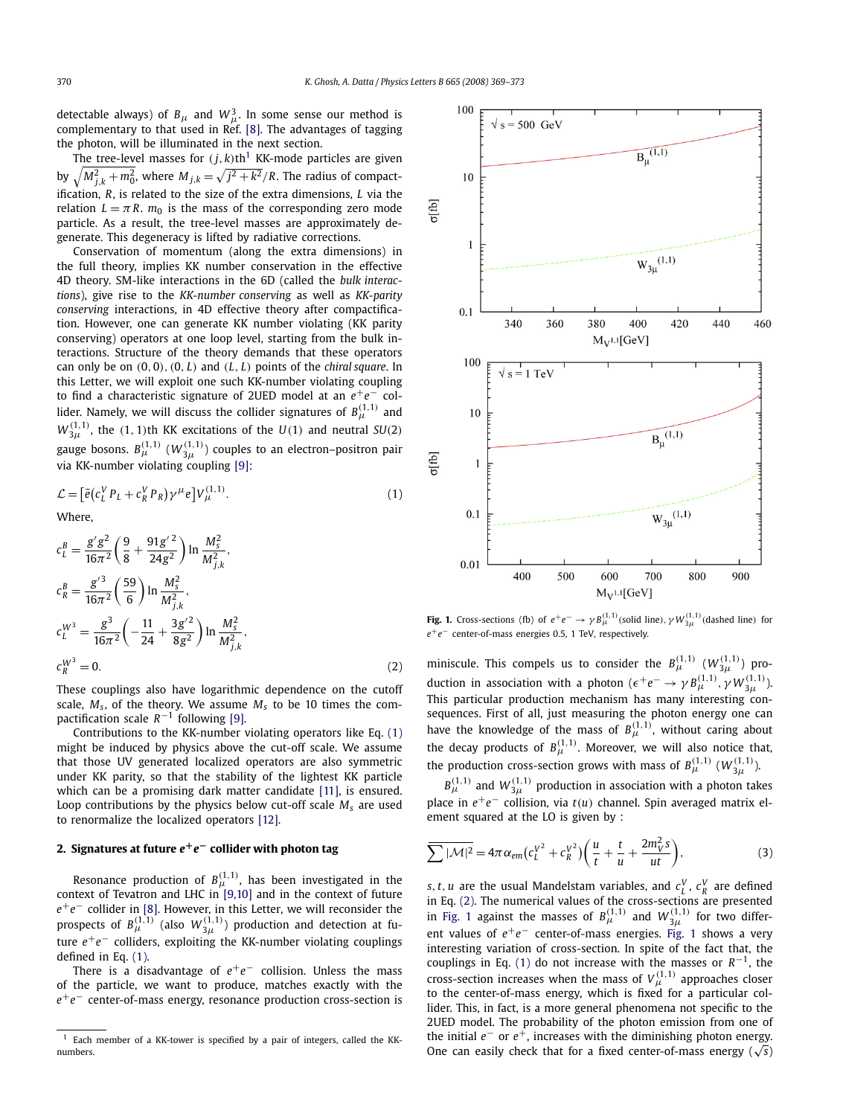<span id="page-1-0"></span>detectable always) of  $B_\mu$  and  $W_\mu^3$ . In some sense our method is complementary to that used in Ref. [\[8\].](#page-4-0) The advantages of tagging the photon, will be illuminated in the next section.

The tree-level masses for  $(j, k)$ th<sup>1</sup> KK-mode particles are given by  $\sqrt{M_{j,k}^2 + m_0^2}$ , where  $M_{j,k} = \sqrt{j^2 + k^2}/R$ . The radius of compactification, *R*, is related to the size of the extra dimensions, *L* via the relation  $L = \pi R$ ,  $m_0$  is the mass of the corresponding zero mode particle. As a result, the tree-level masses are approximately degenerate. This degeneracy is lifted by radiative corrections.

Conservation of momentum (along the extra dimensions) in the full theory, implies KK number conservation in the effective 4D theory. SM-like interactions in the 6D (called the *bulk interactions*), give rise to the *KK-number conserving* as well as *KK-parity conserving* interactions, in 4D effective theory after compactification. However, one can generate KK number violating (KK parity conserving) operators at one loop level, starting from the bulk interactions. Structure of the theory demands that these operators can only be on *(*0*,* 0*),(*0*, L)* and *(L, L)* points of the *chiral square*. In this Letter, we will exploit one such KK-number violating coupling to find a characteristic signature of 2UED model at an *e*+*e*− collider. Namely, we will discuss the collider signatures of  $B^{(1,1)}_{\mu}$  and  $W^{(1,1)}_{3\mu}$ , the  $(1,1)$ th KK excitations of the  $U(1)$  and neutral *SU*(2) gauge bosons.  $B^{(1,1)}_{\mu}$   $(W^{(1,1)}_{3 \mu})$  couples to an electron–positron pair via KK-number violating coupling [\[9\]:](#page-4-0)

$$
\mathcal{L} = \left[\bar{e}(c_L^V P_L + c_R^V P_R)\gamma^\mu e\right] V_{\mu}^{(1,1)}.\tag{1}
$$

Where,

$$
c_L^B = \frac{g'g^2}{16\pi^2} \left(\frac{9}{8} + \frac{91g'^2}{24g^2}\right) \ln \frac{M_s^2}{M_{j,k}^2},
$$
  
\n
$$
c_R^B = \frac{g'^3}{16\pi^2} \left(\frac{59}{6}\right) \ln \frac{M_s^2}{M_{j,k}^2},
$$
  
\n
$$
c_L^{W^3} = \frac{g^3}{16\pi^2} \left(-\frac{11}{24} + \frac{3g'^2}{8g^2}\right) \ln \frac{M_s^2}{M_{j,k}^2},
$$
  
\n
$$
c_R^{W^3} = 0.
$$
\n(2)

These couplings also have logarithmic dependence on the cutoff scale,  $M_s$ , of the theory. We assume  $M_s$  to be 10 times the compactification scale *R*−<sup>1</sup> following [\[9\].](#page-4-0)

Contributions to the KK-number violating operators like Eq. (1) might be induced by physics above the cut-off scale. We assume that those UV generated localized operators are also symmetric under KK parity, so that the stability of the lightest KK particle which can be a promising dark matter candidate [\[11\],](#page-4-0) is ensured. Loop contributions by the physics below cut-off scale  $M_s$  are used to renormalize the localized operators [\[12\].](#page-4-0)

# **2. Signatures at future** *e***+***e***− collider with photon tag**

Resonance production of  $B^{(1,1)}_{\mu}$ , has been investigated in the context of Tevatron and LHC in [\[9,10\]](#page-4-0) and in the context of future *e*+*e*− collider in [\[8\].](#page-4-0) However, in this Letter, we will reconsider the prospects of  $B^{(1,1)}_{\mu}$  (also  $W^{(1,1)}_{3\mu}$ ) production and detection at future  $e^+e^-$  colliders, exploiting the KK-number violating couplings defined in Eq. (1).

There is a disadvantage of *e*<sup>+</sup>*e*<sup>−</sup> collision. Unless the mass of the particle, we want to produce, matches exactly with the *e*+*e*− center-of-mass energy, resonance production cross-section is



**Fig. 1.** Cross-sections (fb) of  $e^+e^- \to \gamma B^{(1,1)}_{\mu}$  (solid line),  $\gamma W^{(1,1)}_{3\mu}$  (dashed line) for *e*+*e*− center-of-mass energies 0.5, 1 TeV, respectively.

miniscule. This compels us to consider the  $B_{\mu}^{(1,1)}$   $(W_{3\mu}^{(1,1)})$  production in association with a photon ( $\epsilon^+e^- \rightarrow \gamma B^{(1,1)}_{\mu}, \gamma W^{(1,1)}_{3\mu}$ ). This particular production mechanism has many interesting consequences. First of all, just measuring the photon energy one can have the knowledge of the mass of  $B_{\mu}^{(1,1)}$ , without caring about the decay products of  $B_{\mu}^{(1,1)}$ . Moreover, we will also notice that, the production cross-section grows with mass of  $B_{\mu}^{(1,1)}$  ( $W_{3\mu}^{(1,1)}$ ).

 $B^{(1,1)}_{\mu}$  and  $W^{(1,1)}_{3 \mu}$  production in association with a photon takes place in *e*+*e*− collision, via *t(u)* channel. Spin averaged matrix element squared at the LO is given by :

$$
\overline{\sum |\mathcal{M}|^2} = 4\pi \alpha_{em} \big(c_L^{V^2} + c_R^{V^2}\big) \bigg(\frac{u}{t} + \frac{t}{u} + \frac{2m_V^2 s}{ut}\bigg),\tag{3}
$$

*s*, *t*, *u* are the usual Mandelstam variables, and  $c_L^V$ ,  $c_R^V$  are defined in Eq. (2). The numerical values of the cross-sections are presented in Fig. 1 against the masses of  $B_{\mu}^{(1,1)}$  and  $W_{3\mu}^{(1,1)}$  for two different values of *e*<sup>+</sup>*e*<sup>−</sup> center-of-mass energies. Fig. 1 shows a very interesting variation of cross-section. In spite of the fact that, the couplings in Eq. (1) do not increase with the masses or  $R^{-1}$ , the cross-section increases when the mass of  $V_{\mu}^{(1,1)}$  approaches closer to the center-of-mass energy, which is fixed for a particular collider. This, in fact, is a more general phenomena not specific to the 2UED model. The probability of the photon emission from one of the initial *e*− or *e*+, increases with the diminishing photon energy. One can easily check that for a fixed center-of-mass energy ( $\sqrt{s}$ )

<sup>1</sup> Each member of a KK-tower is specified by a pair of integers, called the KKnumbers.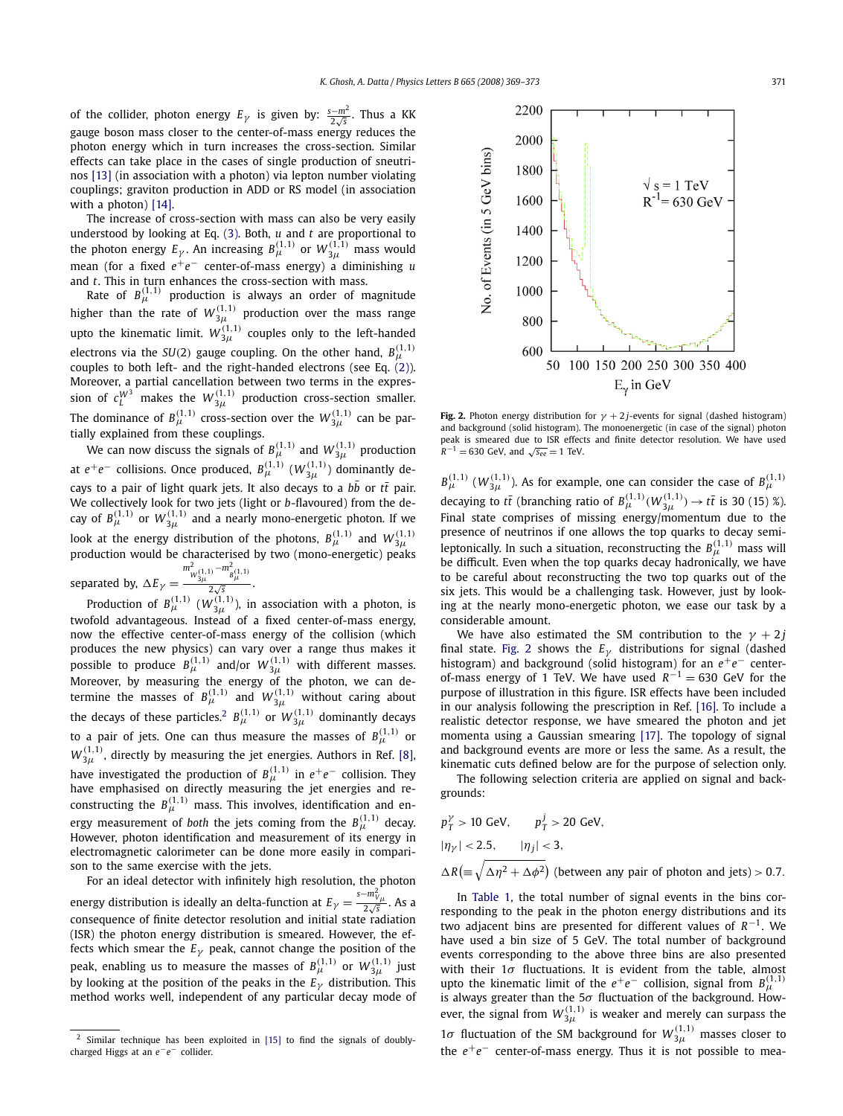2200

of the collider, photon energy  $E_{\gamma}$  is given by:  $\frac{s-m^2}{2\sqrt{s}}$ . Thus a KK gauge boson mass closer to the center-of-mass energy reduces the photon energy which in turn increases the cross-section. Similar effects can take place in the cases of single production of sneutrinos [\[13\]](#page-4-0) (in association with a photon) via lepton number violating couplings; graviton production in ADD or RS model (in association with a photon) [\[14\].](#page-4-0)

The increase of cross-section with mass can also be very easily understood by looking at Eq. [\(3\).](#page-1-0) Both, *u* and *t* are proportional to the photon energy  $E_\gamma$ . An increasing  $B^{(1,1)}_{\mu}$  or  $W^{(1,1)}_{3 \mu}$  mass would mean (for a fixed  $e^+e^-$  center-of-mass energy) a diminishing *u* and *t*. This in turn enhances the cross-section with mass.

Rate of  $B^{(1,1)}_{\mu}$  production is always an order of magnitude higher than the rate of  $W^{(1,1)}_{3 \mu}$  production over the mass range upto the kinematic limit.  $W^{(1,1)}_{3 \mu}$  couples only to the left-handed electrons via the *SU*(2) gauge coupling. On the other hand,  $B^{(1,1)}_{\mu}$ couples to both left- and the right-handed electrons (see Eq. [\(2\)\)](#page-1-0). Moreover, a partial cancellation between two terms in the expres- $\sin$  of  $c_L^{W^3}$  makes the  $W^{(1,1)}_{3 \mu}$  production cross-section smaller. The dominance of  $B^{(1,1)}_{\mu}$  cross-section over the  $W^{(1,1)}_{3 \mu}$  can be partially explained from these couplings.

We can now discuss the signals of  $B^{(1,1)}_{\mu}$  and  $W^{(1,1)}_{3 \mu}$  production at  $e^+e^-$  collisions. Once produced,  $B^{(1,1)}_{\mu}$   $(W^{(1,1)}_{3 \mu})$  dominantly decays to a pair of light quark jets. It also decays to a *b*¯ *b* or *tt*¯ pair. We collectively look for two jets (light or *b*-flavoured) from the decay of  $B^{(1,1)}_{\mu}$  or  $W^{(1,1)}_{3\mu}$  and a nearly mono-energetic photon. If we look at the energy distribution of the photons,  $B^{(1,1)}_{\mu}$  and  $W^{(1,1)}_{3 \mu}$ production would be characterised by two (mono-energetic) peaks  $m_{W_{3\mu}^{(1,1)}}^2 - m_{B_{\mu}^{(1,1)}}^2$ 

separated by,  $\Delta E_{\gamma} =$  $\frac{\mu}{2\sqrt{s}}$ .

Production of  $B^{(1,1)}_{\mu}$   $(W^{(1,1)}_{3 \mu})$ , in association with a photon, is twofold advantageous. Instead of a fixed center-of-mass energy, now the effective center-of-mass energy of the collision (which produces the new physics) can vary over a range thus makes it possible to produce  $B^{(1,1)}_{\mu}$  and/or  $W^{(1,1)}_{3\mu}$  with different masses. Moreover, by measuring the energy of the photon, we can determine the masses of  $B^{(1,1)}_{\mu}$  and  $W^{(1,1)}_{3\mu}$  without caring about the decays of these particles.<sup>2</sup>  $B^{(1,1)}_{\mu}$  or  $W^{(1,1)}_{3 \mu}$  dominantly decays to a pair of jets. One can thus measure the masses of  $B^{(1,1)}_{\mu}$  or  $W^{(1,1)}_{3 \mu}$ , directly by measuring the jet energies. Authors in Ref. [\[8\],](#page-4-0) have investigated the production of  $B^{(1,1)}_{\mu}$  in  $e^+e^-$  collision. They have emphasised on directly measuring the jet energies and reconstructing the  $B^{(1,1)}_{\mu}$  mass. This involves, identification and energy measurement of *both* the jets coming from the  $B^{(1,1)}_{\mu}$  decay. However, photon identification and measurement of its energy in electromagnetic calorimeter can be done more easily in comparison to the same exercise with the jets.

For an ideal detector with infinitely high resolution, the photon energy distribution is ideally an delta-function at  $E_\gamma = \frac{s - m_{V\mu}^2}{2\sqrt{s}}$  . As a consequence of finite detector resolution and initial state radiation (ISR) the photon energy distribution is smeared. However, the effects which smear the  $E<sub>\gamma</sub>$  peak, cannot change the position of the peak, enabling us to measure the masses of  $B^{(1,1)}_{\mu}$  or  $W^{(1,1)}_{3 \mu}$  just by looking at the position of the peaks in the *Eγ* distribution. This method works well, independent of any particular decay mode of



**Fig. 2.** Photon energy distribution for  $\gamma + 2j$ -events for signal (dashed histogram) and background (solid histogram). The monoenergetic (in case of the signal) photon peak is smeared due to ISR effects and finite detector resolution. We have used  $R^{-1} = 630$  GeV, and  $\sqrt{s_{ee}} = 1$  TeV.

 $B^{(1,1)}_{\mu}$  ( $W^{(1,1)}_{3 \mu}$ ). As for example, one can consider the case of  $B^{(1,1)}_{\mu}$ decaying to  $t\bar{t}$  (branching ratio of  $B^{(1,1)}_{\mu}(W^{(1,1)}_{3\mu}) \rightarrow t\bar{t}$  is 30 (15) %). Final state comprises of missing energy/momentum due to the presence of neutrinos if one allows the top quarks to decay semileptonically. In such a situation, reconstructing the  $B^{(1,1)}_{\mu}$  mass will be difficult. Even when the top quarks decay hadronically, we have to be careful about reconstructing the two top quarks out of the six jets. This would be a challenging task. However, just by looking at the nearly mono-energetic photon, we ease our task by a considerable amount.

We have also estimated the SM contribution to the  $\gamma + 2j$ final state. Fig. 2 shows the  $E<sub>\gamma</sub>$  distributions for signal (dashed histogram) and background (solid histogram) for an *e*<sup>+</sup>*e*<sup>−</sup> centerof-mass energy of 1 TeV. We have used  $R^{-1} = 630$  GeV for the purpose of illustration in this figure. ISR effects have been included in our analysis following the prescription in Ref. [\[16\].](#page-4-0) To include a realistic detector response, we have smeared the photon and jet momenta using a Gaussian smearing [\[17\].](#page-4-0) The topology of signal and background events are more or less the same. As a result, the kinematic cuts defined below are for the purpose of selection only.

The following selection criteria are applied on signal and backgrounds:

$$
p_T^{\gamma} > 10 \text{ GeV}, \qquad p_T^j > 20 \text{ GeV},
$$
\n
$$
|\eta_Y| < 2.5, \qquad |\eta_j| < 3,
$$
\n
$$
\Delta R \left( \equiv \sqrt{\Delta \eta^2 + \Delta \phi^2} \right) \text{ (between any pair of photon and jets)} > 0.7.
$$

In [Table 1,](#page-3-0) the total number of signal events in the bins corresponding to the peak in the photon energy distributions and its two adjacent bins are presented for different values of *R*<sup>−</sup>1. We have used a bin size of 5 GeV. The total number of background events corresponding to the above three bins are also presented with their 1*σ* fluctuations. It is evident from the table, almost upto the kinematic limit of the  $e^+e^-$  collision, signal from  $B^{(1,1)}_{\mu}$ is always greater than the 5*σ* fluctuation of the background. However, the signal from  $W^{(1,1)}_{3 \mu}$  is weaker and merely can surpass the 1*σ* fluctuation of the SM background for  $W^{(1,1)}_{3\mu}$  masses closer to the *e*<sup>+</sup>*e*<sup>−</sup> center-of-mass energy. Thus it is not possible to mea-

<sup>&</sup>lt;sup>2</sup> Similar technique has been exploited in [\[15\]](#page-4-0) to find the signals of doublycharged Higgs at an *e*−*e*− collider.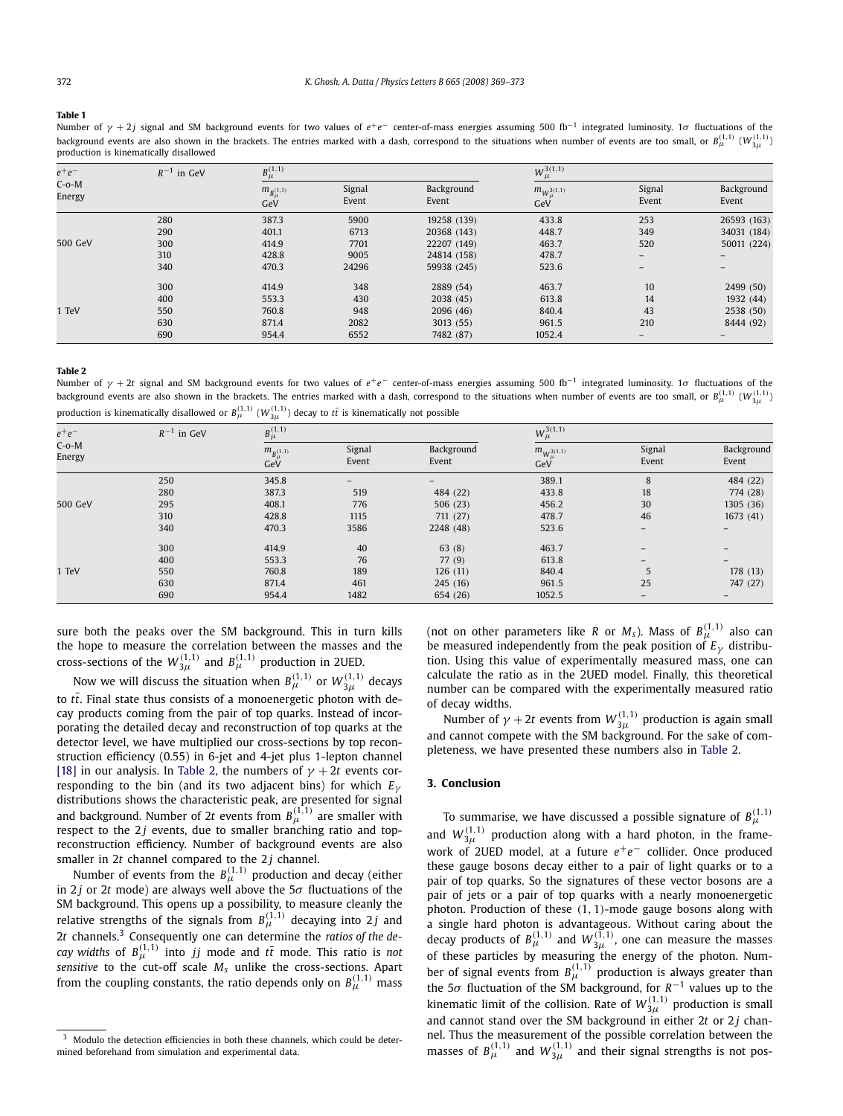#### <span id="page-3-0"></span>**Table 1**

Number of *γ* + 2*j* signal and SM background events for two values of *e*<sup>+</sup>*e*− center-of-mass energies assuming 500 fb<sup>-1</sup> integrated luminosity. 1σ fluctuations of the background events are also shown in the brackets. The entries marked with a dash, correspond to the situations when number of events are too small, or  $B^{(1,1)}_{\mu}$  ( $W^{(1,1)}_{3 \mu}$ ) production is kinematically disallowed

| $e^+e^-$<br>$C$ -o-M<br>Energy | $R^{-1}$ in GeV | $B^{(1,1)}_{\mu}$            |                 |                     | $W_\mu^{3(1,1)}$            |                 |                          |
|--------------------------------|-----------------|------------------------------|-----------------|---------------------|-----------------------------|-----------------|--------------------------|
|                                |                 | $m_{B^{(1,1)}_{\mu}}$<br>GeV | Signal<br>Event | Background<br>Event | $m_{W_\mu^{3(1,1)}}$<br>GeV | Signal<br>Event | Background<br>Event      |
| 500 GeV                        | 280             | 387.3                        | 5900            | 19258 (139)         | 433.8                       | 253             | 26593 (163)              |
|                                | 290             | 401.1                        | 6713            | 20368 (143)         | 448.7                       | 349             | 34031 (184)              |
|                                | 300             | 414.9                        | 7701            | 22207 (149)         | 463.7                       | 520             | 50011 (224)              |
|                                | 310             | 428.8                        | 9005            | 24814 (158)         | 478.7                       | $-$             | $\qquad \qquad -$        |
|                                | 340             | 470.3                        | 24296           | 59938 (245)         | 523.6                       | -               | $\overline{\phantom{m}}$ |
| 1 TeV                          | 300             | 414.9                        | 348             | 2889 (54)           | 463.7                       | 10              | 2499 (50)                |
|                                | 400             | 553.3                        | 430             | 2038 (45)           | 613.8                       | 14              | 1932(44)                 |
|                                | 550             | 760.8                        | 948             | 2096 (46)           | 840.4                       | 43              | 2538 (50)                |
|                                | 630             | 871.4                        | 2082            | 3013(55)            | 961.5                       | 210             | 8444 (92)                |
|                                | 690             | 954.4                        | 6552            | 7482 (87)           | 1052.4                      |                 |                          |

#### **Table 2**

Number of *γ* + <sup>2</sup>*<sup>t</sup>* signal and SM background events for two values of *<sup>e</sup>*+*e*<sup>−</sup> center-of-mass energies assuming 500 fb−<sup>1</sup> integrated luminosity. 1*σ* fluctuations of the background events are also shown in the brackets. The entries marked with a dash, correspond to the situations when number of events are too small, or  $B^{(1,1)}_{\mu}$  ( $W^{(1,1)}_{3 \mu}$ production is kinematically disallowed or  $B^{(1,1)}_{\mu}$   $(W^{(1,1)}_{3 \mu})$  decay to  $t \bar t$  is kinematically not possible

| $e^+e^-$<br>$C$ -o- $M$<br>Energy | $R^{-1}$ in GeV | $B^{(1,1)}_{\mu}$            |                 |                     | $W_\mu^{3(1,1)}$              |                   |                     |
|-----------------------------------|-----------------|------------------------------|-----------------|---------------------|-------------------------------|-------------------|---------------------|
|                                   |                 | $m_{B^{(1,1)}_{\mu}}$<br>GeV | Signal<br>Event | Background<br>Event | $m_{W^{3(1,1)}_{\mu}}$<br>GeV | Signal<br>Event   | Background<br>Event |
|                                   | 250             | 345.8                        |                 |                     | 389.1                         | 8                 | 484 (22)            |
| 500 GeV                           | 280             | 387.3                        | 519             | 484 (22)            | 433.8                         | 18                | 774 (28)            |
|                                   | 295             | 408.1                        | 776             | 506(23)             | 456.2                         | 30                | 1305 (36)           |
|                                   | 310             | 428.8                        | 1115            | 711 (27)            | 478.7                         | 46                | 1673(41)            |
|                                   | 340             | 470.3                        | 3586            | 2248 (48)           | 523.6                         | $\qquad \qquad -$ |                     |
| 1 TeV                             | 300             | 414.9                        | 40              | 63(8)               | 463.7                         | $\qquad \qquad -$ |                     |
|                                   | 400             | 553.3                        | 76              | 77(9)               | 613.8                         | $\qquad \qquad -$ | $-$                 |
|                                   | 550             | 760.8                        | 189             | 126(11)             | 840.4                         | 5                 | 178 (13)            |
|                                   | 630             | 871.4                        | 461             | 245 (16)            | 961.5                         | 25                | 747 (27)            |
|                                   | 690             | 954.4                        | 1482            | 654 (26)            | 1052.5                        | $\qquad \qquad -$ |                     |

sure both the peaks over the SM background. This in turn kills the hope to measure the correlation between the masses and the cross-sections of the  $W_{3\mu}^{(1,1)}$  and  $B_{\mu}^{(1,1)}$  production in 2UED.

Now we will discuss the situation when  $B^{(1,1)}_{\mu}$  or  $W^{(1,1)}_{3 \mu}$  decays to  $t\bar{t}$ . Final state thus consists of a monoenergetic photon with decay products coming from the pair of top quarks. Instead of incorporating the detailed decay and reconstruction of top quarks at the detector level, we have multiplied our cross-sections by top reconstruction efficiency (0.55) in 6-jet and 4-jet plus 1-lepton channel [\[18\]](#page-4-0) in our analysis. In Table 2, the numbers of  $\gamma + 2t$  events corresponding to the bin (and its two adjacent bins) for which *Eγ* distributions shows the characteristic peak, are presented for signal and background. Number of 2 $t$  events from  $B^{(1,1)}_{\mu}$  are smaller with respect to the  $2j$  events, due to smaller branching ratio and topreconstruction efficiency. Number of background events are also smaller in 2*t* channel compared to the 2*j* channel.

Number of events from the  $B^{(1,1)}_{\mu}$  production and decay (either in 2 *j* or 2*t* mode) are always well above the 5*σ* fluctuations of the SM background. This opens up a possibility, to measure cleanly the relative strengths of the signals from  $B^{(1,1)}_{\mu}$  decaying into 2*j* and 2*t* channels.<sup>3</sup> Consequently one can determine the *ratios of the decay widths* of  $B^{(1,1)}_{\mu}$  into *jj* mode and  $t\bar{t}$  mode. This ratio is *not sensitive* to the cut-off scale *Ms* unlike the cross-sections. Apart from the coupling constants, the ratio depends only on  $B^{(1,1)}_{\mu}$  mass (not on other parameters like *R* or  $M_s$ ). Mass of  $B^{(1,1)}_{\mu}$  also can be measured independently from the peak position of  $E<sub>\gamma</sub>$  distribution. Using this value of experimentally measured mass, one can calculate the ratio as in the 2UED model. Finally, this theoretical number can be compared with the experimentally measured ratio of decay widths.

Number of  $\gamma + 2t$  events from  $W^{(1,1)}_{3\mu}$  production is again small and cannot compete with the SM background. For the sake of completeness, we have presented these numbers also in Table 2.

## **3. Conclusion**

To summarise, we have discussed a possible signature of  $B^{(1,1)}_{\mu}$  and  $W^{(1,1)}_{3\mu}$  production along with a hard photon, in the framework of 2UED model, at a future *e*+*e*− collider. Once produced these gauge bosons decay either to a pair of light quarks or to a pair of top quarks. So the signatures of these vector bosons are a pair of jets or a pair of top quarks with a nearly monoenergetic photon. Production of these *(*1*,* 1*)*-mode gauge bosons along with a single hard photon is advantageous. Without caring about the decay products of  $B_{\mu}^{(1,1)}$  and  $W_{3\mu}^{(1,1)}$ , one can measure the masses of these particles by measuring the energy of the photon. Number of signal events from  $B^{(1,1)}_{\mu}$  production is always greater than the 5*σ* fluctuation of the SM background, for *R*−<sup>1</sup> values up to the kinematic limit of the collision. Rate of  $W^{(1,1)}_{3\mu}$  production is small and cannot stand over the SM background in either 2t or 2j channel. Thus the measurement of the possible correlation between the masses of  $B_{\mu}^{(1,1)}$  and  $W_{3\mu}^{(1,1)}$  and their signal strengths is not pos-

<sup>3</sup> Modulo the detection efficiencies in both these channels, which could be determined beforehand from simulation and experimental data.